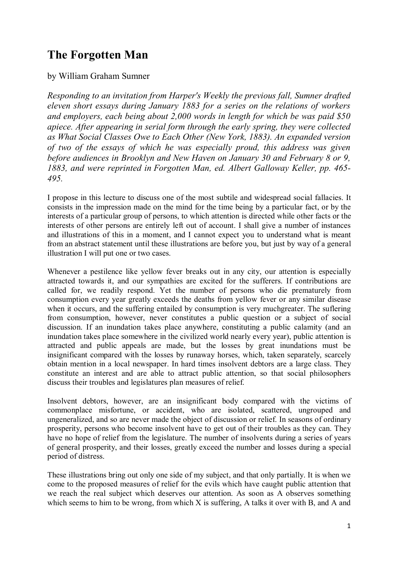## **The Forgotten Man**

by William Graham Sumner

*Responding to an invitation from Harper's Weekly the previous fall, Sumner drafted eleven short essays during January 1883 for a series on the relations of workers and employers, each being about 2,000 words in length for which be was paid \$50 apiece. After appearing in serial form through the early spring, they were collected as What Social Classes Owe to Each Other (New York, 1883). An expanded version of two of the essays of which he was especially proud, this address was given before audiences in Brooklyn and New Haven on January 30 and February 8 or 9, 1883, and were reprinted in Forgotten Man, ed. Albert Galloway Keller, pp. 465- 495.*

I propose in this lecture to discuss one of the most subtile and widespread social fallacies. It consists in the impression made on the mind for the time being by a particular fact, or by the interests of a particular group of persons, to which attention is directed while other facts or the interests of other persons are entirely left out of account. I shall give a number of instances and illustrations of this in a moment, and I cannot expect you to understand what is meant from an abstract statement until these illustrations are before you, but just by way of a general illustration I will put one or two cases.

Whenever a pestilence like yellow fever breaks out in any city, our attention is especially attracted towards it, and our sympathies are excited for the sufferers. If contributions are called for, we readily respond. Yet the number of persons who die prematurely from consumption every year greatly exceeds the deaths from yellow fever or any similar disease when it occurs, and the suffering entailed by consumption is very muchgreater. The suflering from consumption, however, never constitutes a public question or a subject of social discussion. If an inundation takes place anywhere, constituting a public calamity (and an inundation takes place somewhere in the civilized world nearly every year), public attention is attracted and public appeals are made, but the losses by great inundations must be insignificant compared with the losses by runaway horses, which, taken separately, scarcely obtain mention in a local newspaper. In hard times insolvent debtors are a large class. They constitute an interest and are able to attract public attention, so that social philosophers discuss their troubles and legislatures plan measures of relief.

Insolvent debtors, however, are an insignificant body compared with the victims of commonplace misfortune, or accident, who are isolated, scattered, ungrouped and ungeneralized, and so are never made the object of discussion or relief. In seasons of ordinary prosperity, persons who become insolvent have to get out of their troubles as they can. They have no hope of relief from the legislature. The number of insolvents during a series of years of general prosperity, and their losses, greatly exceed the number and losses during a special period of distress.

These illustrations bring out only one side of my subject, and that only partially. It is when we come to the proposed measures of relief for the evils which have caught public attention that we reach the real subject which deserves our attention. As soon as A observes something which seems to him to be wrong, from which X is suffering. A talks it over with B, and A and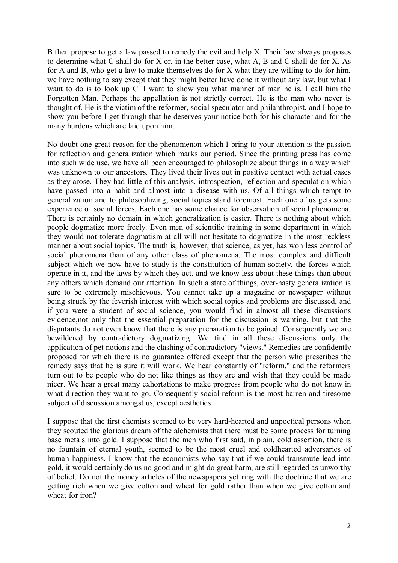B then propose to get a law passed to remedy the evil and help X. Their law always proposes to determine what C shall do for X or, in the better case, what A, B and C shall do for X. As for A and B, who get a law to make themselves do for X what they are willing to do for him, we have nothing to say except that they might better have done it without any law, but what I want to do is to look up C. I want to show you what manner of man he is. I call him the Forgotten Man. Perhaps the appellation is not strictly correct. He is the man who never is thought of. He is the victim of the reformer, social speculator and philanthropist, and I hope to show you before I get through that he deserves your notice both for his character and for the many burdens which are laid upon him.

No doubt one great reason for the phenomenon which I bring to your attention is the passion for reflection and generalization which marks our period. Since the printing press has come into such wide use, we have all been encouraged to philosophize about things in a way which was unknown to our ancestors. They lived their lives out in positive contact with actual cases as they arose. They had little of this analysis, introspection, reflection and speculation which have passed into a habit and almost into a disease with us. Of all things which tempt to generalization and to philosophizing, social topics stand foremost. Each one of us gets some experience of social forces. Each one has some chance for observation of social phenomena. There is certainly no domain in which generalization is easier. There is nothing about which people dogmatize more freely. Even men of scientific training in some department in which they would not tolerate dogmatism at all will not hesitate to dogmatize in the most reckless manner about social topics. The truth is, however, that science, as yet, has won less control of social phenomena than of any other class of phenomena. The most complex and difficult subject which we now have to study is the constitution of human society, the forces which operate in it, and the laws by which they act. and we know less about these things than about any others which demand our attention. In such a state of things, over-hasty generalization is sure to be extremely mischievous. You cannot take up a magazine or newspaper without being struck by the feverish interest with which social topics and problems are discussed, and if you were a student of social science, you would find in almost all these discussions evidence,not only that the essential preparation for the discussion is wanting, but that the disputants do not even know that there is any preparation to be gained. Consequently we are bewildered by contradictory dogmatizing. We find in all these discussions only the application of pet notions and the clashing of contradictory "views." Remedies are confidently proposed for which there is no guarantee offered except that the person who prescribes the remedy says that he is sure it will work. We hear constantly of "reform," and the reformers turn out to be people who do not like things as they are and wish that they could be made nicer. We hear a great many exhortations to make progress from people who do not know in what direction they want to go. Consequently social reform is the most barren and tiresome subject of discussion amongst us, except aesthetics.

I suppose that the first chemists seemed to be very hard-hearted and unpoetical persons when they scouted the glorious dream of the alchemists that there must be some process for turning base metals into gold. I suppose that the men who first said, in plain, cold assertion, there is no fountain of eternal youth, seemed to be the most cruel and coldhearted adversaries of human happiness. I know that the economists who say that if we could transmute lead into gold, it would certainly do us no good and might do great harm, are still regarded as unworthy of belief. Do not the money articles of the newspapers yet ring with the doctrine that we are getting rich when we give cotton and wheat for gold rather than when we give cotton and wheat for iron?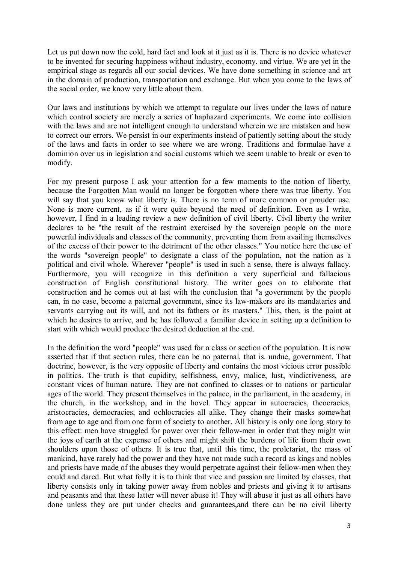Let us put down now the cold, hard fact and look at it just as it is. There is no device whatever to be invented for securing happiness without industry, economy. and virtue. We are yet in the empirical stage as regards all our social devices. We have done something in science and art in the domain of production, transportation and exchange. But when you come to the laws of the social order, we know very little about them.

Our laws and institutions by which we attempt to regulate our lives under the laws of nature which control society are merely a series of haphazard experiments. We come into collision with the laws and are not intelligent enough to understand wherein we are mistaken and how to correct our errors. We persist in our experiments instead of patiently setting about the study of the laws and facts in order to see where we are wrong. Traditions and formulae have a dominion over us in legislation and social customs which we seem unable to break or even to modify.

For my present purpose I ask your attention for a few moments to the notion of liberty, because the Forgotten Man would no longer be forgotten where there was true liberty. You will say that you know what liberty is. There is no term of more common or prouder use. None is more current, as if it were quite beyond the need of definition. Even as I write, however, I find in a leading review a new definition of civil liberty. Civil liberty the writer declares to be "the result of the restraint exercised by the sovereign people on the more powerful individuals and classes of the community, preventing them from availing themselves of the excess of their power to the detriment of the other classes." You notice here the use of the words "sovereign people" to designate a class of the population, not the nation as a political and civil whole. Wherever "people" is used in such a sense, there is always fallacy. Furthermore, you will recognize in this definition a very superficial and fallacious construction of English constitutional history. The writer goes on to elaborate that construction and he comes out at last with the conclusion that "a government by the people can, in no case, become a paternal government, since its law-makers are its mandataries and servants carrying out its will, and not its fathers or its masters." This, then, is the point at which he desires to arrive, and he has followed a familiar device in setting up a definition to start with which would produce the desired deduction at the end.

In the definition the word "people" was used for a class or section of the population. It is now asserted that if that section rules, there can be no paternal, that is. undue, government. That doctrine, however, is the very opposite of liberty and contains the most vicious error possible in politics. The truth is that cupidity, selfishness, envy, malice, lust, vindictiveness, are constant vices of human nature. They are not confined to classes or to nations or particular ages of the world. They present themselves in the palace, in the parliament, in the academy, in the church, in the workshop, and in the hovel. They appear in autocracies, theocracies, aristocracies, democracies, and ochlocracies all alike. They change their masks somewhat from age to age and from one form of society to another. All history is only one long story to this effect: men have struggled for power over their fellow-men in order that they might win the joys of earth at the expense of others and might shift the burdens of life from their own shoulders upon those of others. It is true that, until this time, the proletariat, the mass of mankind, have rarely had the power and they have not made such a record as kings and nobles and priests have made of the abuses they would perpetrate against their fellow-men when they could and dared. But what folly it is to think that vice and passion are limited by classes, that liberty consists only in taking power away from nobles and priests and giving it to artisans and peasants and that these latter will never abuse it! They will abuse it just as all others have done unless they are put under checks and guarantees,and there can be no civil liberty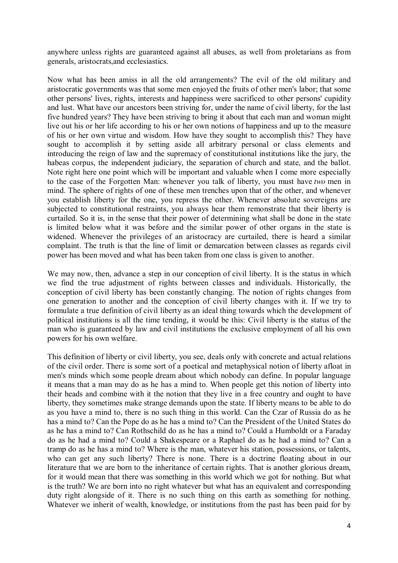anywhere unless rights are guaranteed against all abuses, as well from proletarians as from generals, aristocrats,and ecclesiastics.

Now what has been amiss in all the old arrangements? The evil of the old military and aristocratic governments was that some men enjoyed the fruits of other men's labor; that some other persons' lives, rights, interests and happiness were sacrificed to other persons' cupidity and lust. What have our ancestors been striving for, under the name of civil liberty, for the last five hundred years? They have been striving to bring it about that each man and woman might live out his or her life according to his or her own notions of happiness and up to the measure of his or her own virtue and wisdom. How have they sought to accomplish this? They have sought to accomplish it by setting aside all arbitrary personal or class elements and introducing the reign of law and the supremacy of constitutional institutions like the jury, the habeas corpus, the independent judiciary, the separation of church and state, and the ballot. Note right here one point which will be important and valuable when I come more especially to the case of the Forgotten Man: whenever you talk of liberty, you must have *two* men in mind. The sphere of rights of one of these men trenches upon that of the other, and whenever you establish liberty for the one, you repress the other. Whenever absolute sovereigns are subjected to constitutional restraints, you always hear them remonstrate that their liberty is curtailed. So it is, in the sense that their power of determining what shall be done in the state is limited below what it was before and the similar power of other organs in the state is widened. Whenever the privileges of an aristocracy are curtailed, there is heard a similar complaint. The truth is that the line of limit or demarcation between classes as regards civil power has been moved and what has been taken from one class is given to another.

We may now, then, advance a step in our conception of civil liberty. It is the status in which we find the true adjustment of rights between classes and individuals. Historically, the conception of civil liberty has been constantly changing. The notion of rights changes from one generation to another and the conception of civil liberty changes with it. If we try to formulate a true definition of civil liberty as an ideal thing towards which the development of political institutions is all the time tending, it would be this: Civil liberty is the status of the man who is guaranteed by law and civil institutions the exclusive employment of all his own powers for his own welfare.

This definition of liberty or civil liberty, you see, deals only with concrete and actual relations of the civil order. There is some sort of a poetical and metaphysical notion of liberty afloat in men's minds which some people dream about which nobody can define. In popular language it means that a man may do as he has a mind to. When people get this notion of liberty into their heads and combine with it the notion that they live in a free country and ought to have liberty, they sometimes make strange demands upon the state. If liberty means to be able to do as you have a mind to, there is no such thing in this world. Can the Czar of Russia do as he has a mind to? Can the Pope do as he has a mind to? Can the President of the United States do as he has a mind to? Can Rothschild do as he has a mind to? Could a Humboldt or a Faraday do as he had a mind to? Could a Shakespeare or a Raphael do as he had a mind to? Can a tramp do as he has a mind to? Where is the man, whatever his station, possessions, or talents, who can get any such liberty? There is none. There is a doctrine floating about in our literature that we are born to the inheritance of certain rights. That is another glorious dream, for it would mean that there was something in this world which we got for nothing. But what is the truth? We are born into no right whatever but what has an equivalent and corresponding duty right alongside of it. There is no such thing on this earth as something for nothing. Whatever we inherit of wealth, knowledge, or institutions from the past has been paid for by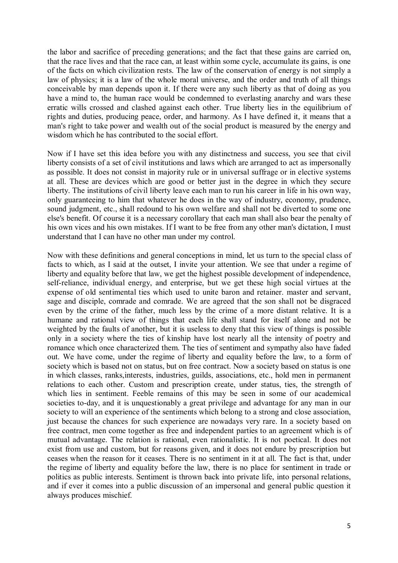the labor and sacrifice of preceding generations; and the fact that these gains are carried on, that the race lives and that the race can, at least within some cycle, accumulate its gains, is one of the facts on which civilization rests. The law of the conservation of energy is not simply a law of physics; it is a law of the whole moral universe, and the order and truth of all things conceivable by man depends upon it. If there were any such liberty as that of doing as you have a mind to, the human race would be condemned to everlasting anarchy and wars these erratic wills crossed and clashed against each other. True liberty lies in the equilibrium of rights and duties, producing peace, order, and harmony. As I have defined it, it means that a man's right to take power and wealth out of the social product is measured by the energy and wisdom which he has contributed to the social effort.

Now if I have set this idea before you with any distinctness and success, you see that civil liberty consists of a set of civil institutions and laws which are arranged to act as impersonally as possible. It does not consist in majority rule or in universal suffrage or in elective systems at all. These are devices which are good or better just in the degree in which they secure liberty. The institutions of civil liberty leave each man to run his career in life in his own way, only guaranteeing to him that whatever he does in the way of industry, economy, prudence, sound judgment, etc., shall redound to his own welfare and shall not be diverted to some one else's benefit. Of course it is a necessary corollary that each man shall also bear the penalty of his own vices and his own mistakes. If I want to be free from any other man's dictation, I must understand that I can have no other man under my control.

Now with these definitions and general conceptions in mind, let us turn to the special class of facts to which, as I said at the outset, I invite your attention. We see that under a regime of liberty and equality before that law, we get the highest possible development of independence, self-reliance, individual energy, and enterprise, but we get these high social virtues at the expense of old sentimental ties which used to unite baron and retainer. master and servant, sage and disciple, comrade and comrade. We are agreed that the son shall not be disgraced even by the crime of the father, much less by the crime of a more distant relative. It is a humane and rational view of things that each life shall stand for itself alone and not be weighted by the faults of another, but it is useless to deny that this view of things is possible only in a society where the ties of kinship have lost nearly all the intensity of poetry and romance which once characterized them. The ties of sentiment and sympathy also have faded out. We have come, under the regime of liberty and equality before the law, to a form of society which is based not on status, but on free contract. Now a society based on status is one in which classes, ranks,interests, industries, guilds, associations, etc., hold men in permanent relations to each other. Custom and prescription create, under status, ties, the strength of which lies in sentiment. Feeble remains of this may be seen in some of our academical societies to-day, and it is unquestionably a great privilege and advantage for any man in our society to will an experience of the sentiments which belong to a strong and close association, just because the chances for such experience are nowadays very rare. In a society based on free contract, men come together as free and independent parties to an agreement which is of mutual advantage. The relation is rational, even rationalistic. It is not poetical. It does not exist from use and custom, but for reasons given, and it does not endure by prescription but ceases when the reason for it ceases. There is no sentiment in it at all. The fact is that, under the regime of liberty and equality before the law, there is no place for sentiment in trade or politics as public interests. Sentiment is thrown back into private life, into personal relations, and if ever it comes into a public discussion of an impersonal and general public question it always produces mischief.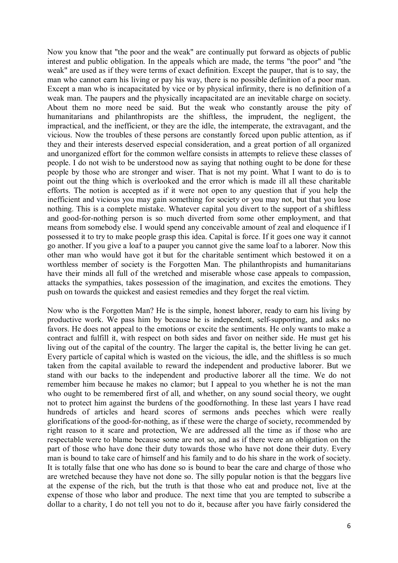Now you know that "the poor and the weak" are continually put forward as objects of public interest and public obligation. In the appeals which are made, the terms "the poor" and "the weak" are used as if they were terms of exact definition. Except the pauper, that is to say, the man who cannot earn his living or pay his way, there is no possible definition of a poor man. Except a man who is incapacitated by vice or by physical infirmity, there is no definition of a weak man. The paupers and the physically incapacitated are an inevitable charge on society. About them no more need be said. But the weak who constantly arouse the pity of humanitarians and philanthropists are the shiftless, the imprudent, the negligent, the impractical, and the inefficient, or they are the idle, the intemperate, the extravagant, and the vicious. Now the troubles of these persons are constantly forced upon public attention, as if they and their interests deserved especial consideration, and a great portion of all organized and unorganized effort for the common welfare consists in attempts to relieve these classes of people. I do not wish to be understood now as saying that nothing ought to be done for these people by those who are stronger and wiser. That is not my point. What I want to do is to point out the thing which is overlooked and the error which is made ill all these charitable efforts. The notion is accepted as if it were not open to any question that if you help the inefficient and vicious you may gain something for society or you may not, but that you lose nothing. This is a complete mistake. Whatever capital you divert to the support of a shiftless and good-for-nothing person is so much diverted from some other employment, and that means from somebody else. I would spend any conceivable amount of zeal and eloquence if I possessed it to try to make people grasp this idea. Capital is force. If it goes one way it cannot go another. If you give a loaf to a pauper you cannot give the same loaf to a laborer. Now this other man who would have got it but for the charitable sentiment which bestowed it on a worthless member of society is the Forgotten Man. The philanthropists and humanitarians have their minds all full of the wretched and miserable whose case appeals to compassion, attacks the sympathies, takes possession of the imagination, and excites the emotions. They push on towards the quickest and easiest remedies and they forget the real victim.

Now who is the Forgotten Man? He is the simple, honest laborer, ready to earn his living by productive work. We pass him by because he is independent, self-supporting, and asks no favors. He does not appeal to the emotions or excite the sentiments. He only wants to make a contract and fulfill it, with respect on both sides and favor on neither side. He must get his living out of the capital of the country. The larger the capital is, the better living he can get. Every particle of capital which is wasted on the vicious, the idle, and the shiftless is so much taken from the capital available to reward the independent and productive laborer. But we stand with our backs to the independent and productive laborer all the time. We do not remember him because he makes no clamor; but I appeal to you whether he is not the man who ought to be remembered first of all, and whether, on any sound social theory, we ought not to protect him against the burdens of the goodfornothing. In these last years I have read hundreds of articles and heard scores of sermons ands peeches which were really glorifications of the good-for-nothing, as if these were the charge of society, recommended by right reason to it scare and protection, We are addressed all the time as if those who are respectable were to blame because some are not so, and as if there were an obligation on the part of those who have done their duty towards those who have not done their duty. Every man is bound to take care of himself and his family and to do his share in the work of society. It is totally false that one who has done so is bound to bear the care and charge of those who are wretched because they have not done so. The silly popular notion is that the beggars live at the expense of the rich, but the truth is that those who eat and produce not, live at the expense of those who labor and produce. The next time that you are tempted to subscribe a dollar to a charity, I do not tell you not to do it, because after you have fairly considered the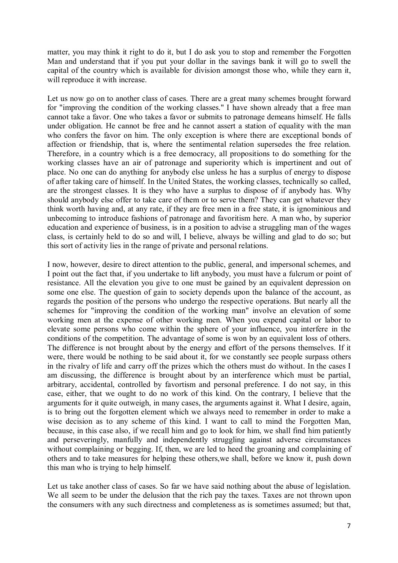matter, you may think it right to do it, but I do ask you to stop and remember the Forgotten Man and understand that if you put your dollar in the savings bank it will go to swell the capital of the country which is available for division amongst those who, while they earn it, will reproduce it with increase.

Let us now go on to another class of cases. There are a great many schemes brought forward for "improving the condition of the working classes." I have shown already that a free man cannot take a favor. One who takes a favor or submits to patronage demeans himself. He falls under obligation. He cannot be free and he cannot assert a station of equality with the man who confers the favor on him. The only exception is where there are exceptional bonds of affection or friendship, that is, where the sentimental relation supersedes the free relation. Therefore, in a country which is a free democracy, all propositions to do something for the working classes have an air of patronage and superiority which is impertinent and out of place. No one can do anything for anybody else unless he has a surplus of energy to dispose of after taking care of himself. In the United States, the working classes, technically so called, are the strongest classes. It is they who have a surplus to dispose of if anybody has. Why should anybody else offer to take care of them or to serve them? They can get whatever they think worth having and, at any rate, if they are free men in a free state, it is ignominious and unbecoming to introduce fashions of patronage and favoritism here. A man who, by superior education and experience of business, is in a position to advise a struggling man of the wages class, is certainly held to do so and will, I believe, always be willing and glad to do so; but this sort of activity lies in the range of private and personal relations.

I now, however, desire to direct attention to the public, general, and impersonal schemes, and I point out the fact that, if you undertake to lift anybody, you must have a fulcrum or point of resistance. All the elevation you give to one must be gained by an equivalent depression on some one else. The question of gain to society depends upon the balance of the account, as regards the position of the persons who undergo the respective operations. But nearly all the schemes for "improving the condition of the working man" involve an elevation of some working men at the expense of other working men. When you expend capital or labor to elevate some persons who come within the sphere of your influence, you interfere in the conditions of the competition. The advantage of some is won by an equivalent loss of others. The difference is not brought about by the energy and effort of the persons themselves. If it were, there would be nothing to be said about it, for we constantly see people surpass others in the rivalry of life and carry off the prizes which the others must do without. In the cases I am discussing, the difference is brought about by an interference which must be partial, arbitrary, accidental, controlled by favortism and personal preference. I do not say, in this case, either, that we ought to do no work of this kind. On the contrary, I believe that the arguments for it quite outweigh, in many cases, the arguments against it. What I desire, again, is to bring out the forgotten element which we always need to remember in order to make a wise decision as to any scheme of this kind. I want to call to mind the Forgotten Man, because, in this case also, if we recall him and go to look for him, we shall find him patiently and perseveringly, manfully and independently struggling against adverse circumstances without complaining or begging. If, then, we are led to heed the groaning and complaining of others and to take measures for helping these others,we shall, before we know it, push down this man who is trying to help himself.

Let us take another class of cases. So far we have said nothing about the abuse of legislation. We all seem to be under the delusion that the rich pay the taxes. Taxes are not thrown upon the consumers with any such directness and completeness as is sometimes assumed; but that,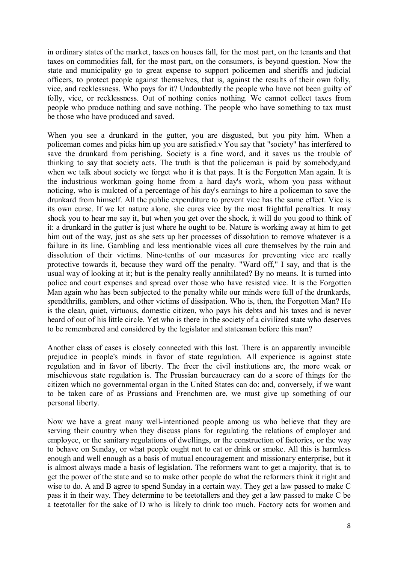in ordinary states of the market, taxes on houses fall, for the most part, on the tenants and that taxes on commodities fall, for the most part, on the consumers, is beyond question. Now the state and municipality go to great expense to support policemen and sheriffs and judicial officers, to protect people against themselves, that is, against the results of their own folly, vice, and recklessness. Who pays for it? Undoubtedly the people who have not been guilty of folly, vice, or recklessness. Out of nothing conies nothing. We cannot collect taxes from people who produce nothing and save nothing. The people who have something to tax must be those who have produced and saved.

When you see a drunkard in the gutter, you are disgusted, but you pity him. When a policeman comes and picks him up you are satisfied.v You say that "society" has interfered to save the drunkard from perishing. Society is a fine word, and it saves us the trouble of thinking to say that society acts. The truth is that the policeman is paid by somebody,and when we talk about society we forget who it is that pays. It is the Forgotten Man again. It is the industrious workman going home from a hard day's work, whom you pass without noticing, who is mulcted of a percentage of his day's earnings to hire a policeman to save the drunkard from himself. All the public expenditure to prevent vice has the same effect. Vice is its own curse. If we let nature alone, she cures vice by the most frightful penalties. It may shock you to hear me say it, but when you get over the shock, it will do you good to think of it: a drunkard in the gutter is just where he ought to be. Nature is working away at him to get him out of the way, just as she sets up her processes of dissolution to remove whatever is a failure in its line. Gambling and less mentionable vices all cure themselves by the ruin and dissolution of their victims. Nine-tenths of our measures for preventing vice are really protective towards it, because they ward off the penalty. "Ward off," I say, and that is the usual way of looking at it; but is the penalty really annihilated? By no means. It is turned into police and court expenses and spread over those who have resisted vice. It is the Forgotten Man again who has been subjected to the penalty while our minds were full of the drunkards, spendthrifts, gamblers, and other victims of dissipation. Who is, then, the Forgotten Man? He is the clean, quiet, virtuous, domestic citizen, who pays his debts and his taxes and is never heard of out of his little circle. Yet who is there in the society of a civilized state who deserves to be remembered and considered by the legislator and statesman before this man?

Another class of cases is closely connected with this last. There is an apparently invincible prejudice in people's minds in favor of state regulation. All experience is against state regulation and in favor of liberty. The freer the civil institutions are, the more weak or mischievous state regulation is. The Prussian bureaucracy can do a score of things for the citizen which no governmental organ in the United States can do; and, conversely, if we want to be taken care of as Prussians and Frenchmen are, we must give up something of our personal liberty.

Now we have a great many well-intentioned people among us who believe that they are serving their country when they discuss plans for regulating the relations of employer and employee, or the sanitary regulations of dwellings, or the construction of factories, or the way to behave on Sunday, or what people ought not to eat or drink or smoke. All this is harmless enough and well enough as a basis of mutual encouragement and missionary enterprise, but it is almost always made a basis of legislation. The reformers want to get a majority, that is, to get the power of the state and so to make other people do what the reformers think it right and wise to do. A and B agree to spend Sunday in a certain way. They get a law passed to make C pass it in their way. They determine to be teetotallers and they get a law passed to make C be a teetotaller for the sake of D who is likely to drink too much. Factory acts for women and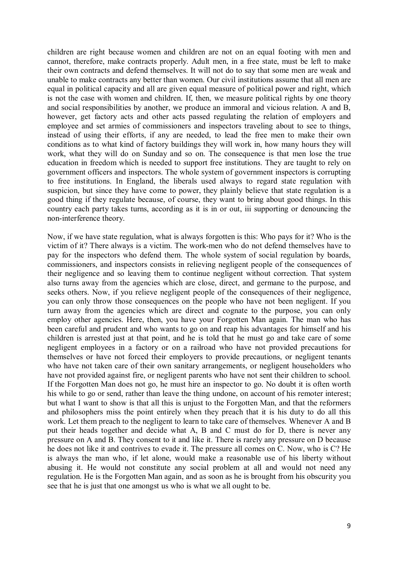children are right because women and children are not on an equal footing with men and cannot, therefore, make contracts properly. Adult men, in a free state, must be left to make their own contracts and defend themselves. It will not do to say that some men are weak and unable to make contracts any better than women. Our civil institutions assume that all men are equal in political capacity and all are given equal measure of political power and right, which is not the case with women and children. If, then, we measure political rights by one theory and social responsibilities by another, we produce an immoral and vicious relation. A and B, however, get factory acts and other acts passed regulating the relation of employers and employee and set armies of commissioners and inspectors traveling about to see to things, instead of using their efforts, if any are needed, to lead the free men to make their own conditions as to what kind of factory buildings they will work in, how many hours they will work, what they will do on Sunday and so on. The consequence is that men lose the true education in freedom which is needed to support free institutions. They are taught to rely on government officers and inspectors. The whole system of government inspectors is corrupting to free institutions. In England, the liberals used always to regard state regulation with suspicion, but since they have come to power, they plainly believe that state regulation is a good thing if they regulate because, of course, they want to bring about good things. In this country each party takes turns, according as it is in or out, iii supporting or denouncing the non-interference theory.

Now, if we have state regulation, what is always forgotten is this: Who pays for it? Who is the victim of it? There always is a victim. The work-men who do not defend themselves have to pay for the inspectors who defend them. The whole system of social regulation by boards, commissioners, and inspectors consists in relieving negligent people of the consequences of their negligence and so leaving them to continue negligent without correction. That system also turns away from the agencies which are close, direct, and germane to the purpose, and seeks others. Now, if you relieve negligent people of the consequences of their negligence, you can only throw those consequences on the people who have not been negligent. If you turn away from the agencies which are direct and cognate to the purpose, you can only employ other agencies. Here, then, you have your Forgotten Man again. The man who has been careful and prudent and who wants to go on and reap his advantages for himself and his children is arrested just at that point, and he is told that he must go and take care of some negligent employees in a factory or on a railroad who have not provided precautions for themselves or have not forced their employers to provide precautions, or negligent tenants who have not taken care of their own sanitary arrangements, or negligent householders who have not provided against fire, or negligent parents who have not sent their children to school. If the Forgotten Man does not go, he must hire an inspector to go. No doubt it is often worth his while to go or send, rather than leave the thing undone, on account of his remoter interest; but what I want to show is that all this is unjust to the Forgotten Man, and that the reformers and philosophers miss the point entirely when they preach that it is his duty to do all this work. Let them preach to the negligent to learn to take care of themselves. Whenever A and B put their heads together and decide what A, B and C must do for D, there is never any pressure on A and B. They consent to it and like it. There is rarely any pressure on D because he does not like it and contrives to evade it. The pressure all comes on C. Now, who is C? He is always the man who, if let alone, would make a reasonable use of his liberty without abusing it. He would not constitute any social problem at all and would not need any regulation. He is the Forgotten Man again, and as soon as he is brought from his obscurity you see that he is just that one amongst us who is what we all ought to be.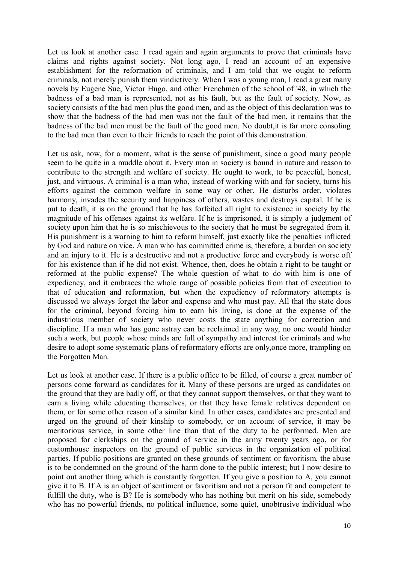Let us look at another case. I read again and again arguments to prove that criminals have claims and rights against society. Not long ago, I read an account of an expensive establishment for the reformation of criminals, and I am told that we ought to reform criminals, not merely punish them vindictively. When I was a young man, I read a great many novels by Eugene Sue, Victor Hugo, and other Frenchmen of the school of '48, in which the badness of a bad man is represented, not as his fault, but as the fault of society. Now, as society consists of the bad men plus the good men, and as the object of this declaration was to show that the badness of the bad men was not the fault of the bad men, it remains that the badness of the bad men must be the fault of the good men. No doubt,it is far more consoling to the bad men than even to their friends to reach the point of this demonstration.

Let us ask, now, for a moment, what is the sense of punishment, since a good many people seem to be quite in a muddle about it. Every man in society is bound in nature and reason to contribute to the strength and welfare of society. He ought to work, to be peaceful, honest, just, and virtuous. A criminal is a man who, instead of working with and for society, turns his efforts against the common welfare in some way or other. He disturbs order, violates harmony, invades the security and happiness of others, wastes and destroys capital. If he is put to death, it is on the ground that he has forfeited all right to existence in society by the magnitude of his offenses against its welfare. If he is imprisoned, it is simply a judgment of society upon him that he is so mischievous to the society that he must be segregated from it. His punishment is a warning to him to reform himself, just exactly like the penalties inflicted by God and nature on vice. A man who has committed crime is, therefore, a burden on society and an injury to it. He is a destructive and not a productive force and everybody is worse off for his existence than if he did not exist. Whence, then, does he obtain a right to be taught or reformed at the public expense? The whole question of what to do with him is one of expediency, and it embraces the whole range of possible policies from that of execution to that of education and reformation, but when the expediency of reformatory attempts is discussed we always forget the labor and expense and who must pay. All that the state does for the criminal, beyond forcing him to earn his living, is done at the expense of the industrious member of society who never costs the state anything for correction and discipline. If a man who has gone astray can be reclaimed in any way, no one would hinder such a work, but people whose minds are full of sympathy and interest for criminals and who desire to adopt some systematic plans of reformatory efforts are only,once more, trampling on the Forgotten Man.

Let us look at another case. If there is a public office to be filled, of course a great number of persons come forward as candidates for it. Many of these persons are urged as candidates on the ground that they are badly off, or that they cannot support themselves, or that they want to earn a living while educating themselves, or that they have female relatives dependent on them, or for some other reason of a similar kind. In other cases, candidates are presented and urged on the ground of their kinship to somebody, or on account of service, it may be meritorious service, in some other line than that of the duty to be performed. Men are proposed for clerkships on the ground of service in the army twenty years ago, or for customhouse inspectors on the ground of public services in the organization of political parties. If public positions are granted on these grounds of sentiment or favoritism, the abuse is to be condemned on the ground of the harm done to the public interest; but I now desire to point out another thing which is constantly forgotten. If you give a position to A, you cannot give it to B. If A is an object of sentiment or favoritism and not a person fit and competent to fulfill the duty, who is B? He is somebody who has nothing but merit on his side, somebody who has no powerful friends, no political influence, some quiet, unobtrusive individual who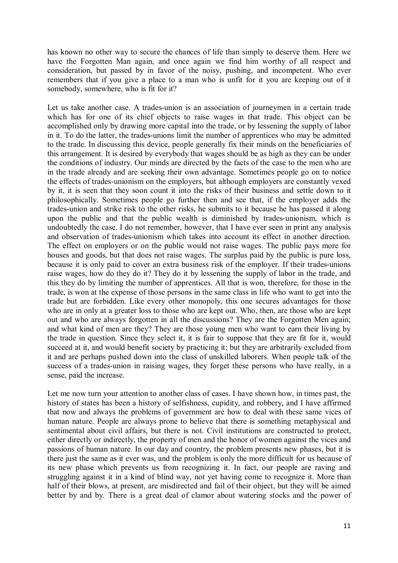has known no other way to secure the chances of life than simply to deserve them. Here we have the Forgotten Man again, and once again we find him worthy of all respect and consideration, but passed by in favor of the noisy, pushing, and incompetent. Who ever remembers that if you give a place to a man who is unfit for it you are keeping out of it somebody, somewhere, who is fit for it?

Let us take another case. A trades-union is an association of journeymen in a certain trade which has for one of its chief objects to raise wages in that trade. This object can be accomplished only by drawing more capital into the trade, or by lessening the supply of labor in it. To do the latter, the trades-unions limit the number of apprentices who may be admitted to the trade. In discussing this device, people generally fix their minds on the beneficiaries of this arrangement. It is desired by everybody that wages should be as high as they can be under the conditions of industry. Our minds are directed by the facts of the case to the men who are in the trade already and are seeking their own advantage. Sometimes people go on to notice the effects of trades-unionism on the employers, but although employers are constantly vexed by it, it is seen that they soon count it into the risks of their business and settle down to it philosophically. Sometimes people go further then and see that, if the employer adds the trades-union and strike risk to the other risks, he submits to it because he has passed it along upon the public and that the public wealth is diminished by trades-unionism, which is undoubtedly the case. I do not remember, however, that I have ever seen in print any analysis and observation of trades-unionism which takes into account its effect in another direction. The effect on employers or on the public would not raise wages. The public pays more for houses and goods, but that does not raise wages. The surplus paid by the public is pure loss, because it is only paid to cover an extra business risk of the employer. If their trades-unions raise wages, how do they do it? They do it by lessening the supply of labor in the trade, and this they do by limiting the number of apprentices. All that is won, therefore, for those in the trade, is won at the expense of those persons in the same class in life who want to get into the trade but are forbidden. Like every other monopoly, this one secures advantages for those who are in only at a greater loss to those who are kept out. Who, then, are those who are kept out and who are always forgotten in all the discussions? They are the Forgotten Men again; and what kind of men are they? They are those young men who want to earn their living by the trade in question. Since they select it, it is fair to suppose that they are fit for it, would succeed at it, and would benefit society by practicing it; but they are arbitrarily excluded from it and are perhaps pushed down into the class of unskilled laborers. When people talk of the success of a trades-union in raising wages, they forget these persons who have really, in a sense, paid the increase.

Let me now turn your attention to another class of cases. I have shown how, in times past, the history of states has been a history of selfishness, cupidity, and robbery, and I have affirmed that now and always the problems of government are how to deal with these same vices of human nature. People are always prone to believe that there is something metaphysical and sentimental about civil affairs, but there is not. Civil institutions are constructed to protect, either directly or indirectly, the property of men and the honor of women against the vices and passions of human nature. In our day and country, the problem presents new phases, but it is there just the same as it ever was, and the problem is only the more difficult for us because of its new phase which prevents us from recognizing it. In fact, our people are raving and struggling against it in a kind of blind way, not yet having come to recognize it. More than half of their blows, at present, are misdirected and fail of their object, but they will be aimed better by and by. There is a great deal of clamor about watering stocks and the power of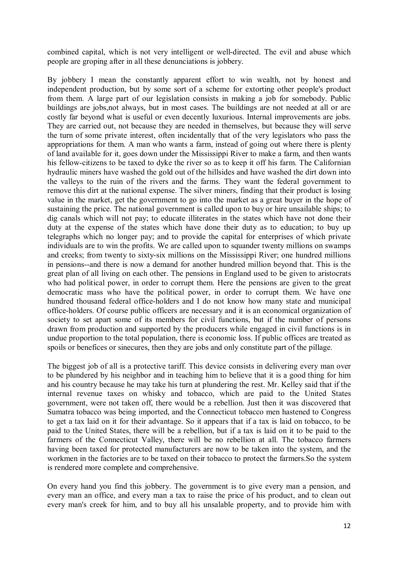combined capital, which is not very intelligent or well-directed. The evil and abuse which people are groping after in all these denunciations is jobbery.

By jobbery I mean the constantly apparent effort to win wealth, not by honest and independent production, but by some sort of a scheme for extorting other people's product from them. A large part of our legislation consists in making a job for somebody. Public buildings are jobs,not always, but in most cases. The buildings are not needed at all or are costly far beyond what is useful or even decently luxurious. Internal improvements are jobs. They are carried out, not because they are needed in themselves, but because they will serve the turn of some private interest, often incidentally that of the very legislators who pass the appropriations for them. A man who wants a farm, instead of going out where there is plenty of land available for it, goes down under the Mississippi River to make a farm, and then wants his fellow-citizens to be taxed to dyke the river so as to keep it off his farm. The Californian hydraulic miners have washed the gold out of the hillsides and have washed the dirt down into the valleys to the ruin of the rivers and the farms. They want the federal government to remove this dirt at the national expense. The silver miners, finding that their product is losing value in the market, get the government to go into the market as a great buyer in the hope of sustaining the price. The national government is called upon to buy or hire unsailable ships; to dig canals which will not pay; to educate illiterates in the states which have not done their duty at the expense of the states which have done their duty as to education; to buy up telegraphs which no longer pay; and to provide the capital for enterprises of which private individuals are to win the profits. We are called upon to squander twenty millions on swamps and creeks; from twenty to sixty-six millions on the Mississippi River; one hundred millions in pensions--and there is now a demand for another hundred million beyond that. This is the great plan of all living on each other. The pensions in England used to be given to aristocrats who had political power, in order to corrupt them. Here the pensions are given to the great democratic mass who have the political power, in order to corrupt them. We have one hundred thousand federal office-holders and I do not know how many state and municipal office-holders. Of course public officers are necessary and it is an economical organization of society to set apart some of its members for civil functions, but if the number of persons drawn from production and supported by the producers while engaged in civil functions is in undue proportion to the total population, there is economic loss. If public offices are treated as spoils or benefices or sinecures, then they are jobs and only constitute part of the pillage.

The biggest job of all is a protective tariff. This device consists in delivering every man over to be plundered by his neighbor and in teaching him to believe that it is a good thing for him and his country because he may take his turn at plundering the rest. Mr. Kelley said that if the internal revenue taxes on whisky and tobacco, which are paid to the United States government, were not taken off, there would be a rebellion. Just then it was discovered that Sumatra tobacco was being imported, and the Connecticut tobacco men hastened to Congress to get a tax laid on it for their advantage. So it appears that if a tax is laid on tobacco, to be paid to the United States, there will be a rebellion, but if a tax is laid on it to be paid to the farmers of the Connecticut Valley, there will be no rebellion at all. The tobacco farmers having been taxed for protected manufacturers are now to be taken into the system, and the workmen in the factories are to be taxed on their tobacco to protect the farmers.So the system is rendered more complete and comprehensive.

On every hand you find this jobbery. The government is to give every man a pension, and every man an office, and every man a tax to raise the price of his product, and to clean out every man's creek for him, and to buy all his unsalable property, and to provide him with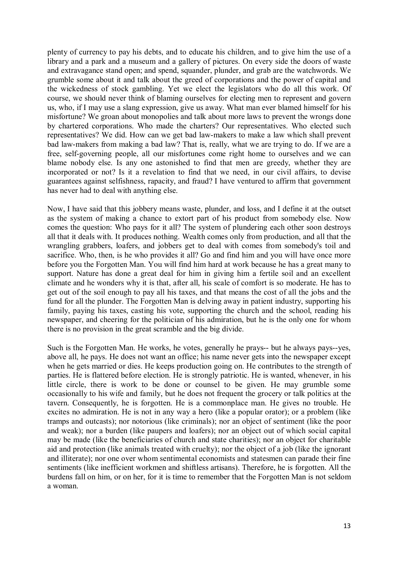plenty of currency to pay his debts, and to educate his children, and to give him the use of a library and a park and a museum and a gallery of pictures. On every side the doors of waste and extravagance stand open; and spend, squander, plunder, and grab are the watchwords. We grumble some about it and talk about the greed of corporations and the power of capital and the wickedness of stock gambling. Yet we elect the legislators who do all this work. Of course, we should never think of blaming ourselves for electing men to represent and govern us, who, if I may use a slang expression, give us away. What man ever blamed himself for his misfortune? We groan about monopolies and talk about more laws to prevent the wrongs done by chartered corporations. Who made the charters? Our representatives. Who elected such representatives? We did. How can we get bad law-makers to make a law which shall prevent bad law-makers from making a bad law? That is, really, what we are trying to do. If we are a free, self-governing people, all our misfortunes come right home to ourselves and we can blame nobody else. Is any one astonished to find that men are greedy, whether they are incorporated or not? Is it a revelation to find that we need, in our civil affairs, to devise guarantees against selfishness, rapacity, and fraud? I have ventured to affirm that government has never had to deal with anything else.

Now, I have said that this jobbery means waste, plunder, and loss, and I define it at the outset as the system of making a chance to extort part of his product from somebody else. Now comes the question: Who pays for it all? The system of plundering each other soon destroys all that it deals with. It produces nothing. Wealth comes only from production, and all that the wrangling grabbers, loafers, and jobbers get to deal with comes from somebody's toil and sacrifice. Who, then, is he who provides it all? Go and find him and you will have once more before you the Forgotten Man. You will find him hard at work because he has a great many to support. Nature has done a great deal for him in giving him a fertile soil and an excellent climate and he wonders why it is that, after all, his scale of comfort is so moderate. He has to get out of the soil enough to pay all his taxes, and that means the cost of all the jobs and the fund for all the plunder. The Forgotten Man is delving away in patient industry, supporting his family, paying his taxes, casting his vote, supporting the church and the school, reading his newspaper, and cheering for the politician of his admiration, but he is the only one for whom there is no provision in the great scramble and the big divide.

Such is the Forgotten Man. He works, he votes, generally he prays-- but he always pays--yes, above all, he pays. He does not want an office; his name never gets into the newspaper except when he gets married or dies. He keeps production going on. He contributes to the strength of parties. He is flattered before election. He is strongly patriotic. He is wanted, whenever, in his little circle, there is work to be done or counsel to be given. He may grumble some occasionally to his wife and family, but he does not frequent the grocery or talk politics at the tavern. Consequently, he is forgotten. He is a commonplace man. He gives no trouble. He excites no admiration. He is not in any way a hero (like a popular orator); or a problem (like tramps and outcasts); nor notorious (like criminals); nor an object of sentiment (like the poor and weak); nor a burden (like paupers and loafers); nor an object out of which social capital may be made (like the beneficiaries of church and state charities); nor an object for charitable aid and protection (like animals treated with cruelty); nor the object of a job (like the ignorant and illiterate); nor one over whom sentimental economists and statesmen can parade their fine sentiments (like inefficient workmen and shiftless artisans). Therefore, he is forgotten. All the burdens fall on him, or on her, for it is time to remember that the Forgotten Man is not seldom a woman.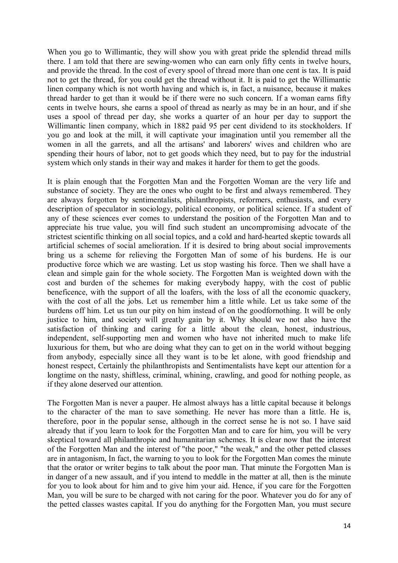When you go to Willimantic, they will show you with great pride the splendid thread mills there. I am told that there are sewing-women who can earn only fifty cents in twelve hours, and provide the thread. In the cost of every spool of thread more than one cent is tax. It is paid not to get the thread, for you could get the thread without it. It is paid to get the Willimantic linen company which is not worth having and which is, in fact, a nuisance, because it makes thread harder to get than it would be if there were no such concern. If a woman earns fifty cents in twelve hours, she earns a spool of thread as nearly as may be in an hour, and if she uses a spool of thread per day, she works a quarter of an hour per day to support the Willimantic linen company, which in 1882 paid 95 per cent dividend to its stockholders. If you go and look at the mill, it will captivate your imagination until you remember all the women in all the garrets, and all the artisans' and laborers' wives and children who are spending their hours of labor, not to get goods which they need, but to pay for the industrial system which only stands in their way and makes it harder for them to get the goods.

It is plain enough that the Forgotten Man and the Forgotten Woman are the very life and substance of society. They are the ones who ought to be first and always remembered. They are always forgotten by sentimentalists, philanthropists, reformers, enthusiasts, and every description of speculator in sociology, political economy, or political science. If a student of any of these sciences ever comes to understand the position of the Forgotten Man and to appreciate his true value, you will find such student an uncompromising advocate of the strictest scientific thinking on all social topics, and a cold and hard-hearted skeptic towards all artificial schemes of social amelioration. If it is desired to bring about social improvements bring us a scheme for relieving the Forgotten Man of some of his burdens. He is our productive force which we are wasting. Let us stop wasting his force. Then we shall have a clean and simple gain for the whole society. The Forgotten Man is weighted down with the cost and burden of the schemes for making everybody happy, with the cost of public beneficence, with the support of all the loafers, with the loss of all the economic quackery, with the cost of all the jobs. Let us remember him a little while. Let us take some of the burdens off him. Let us tun our pity on him instead of on the goodfornothing. It will be only justice to him, and society will greatly gain by it. Why should we not also have the satisfaction of thinking and caring for a little about the clean, honest, industrious, independent, self-supporting men and women who have not inherited much to make life luxurious for them, but who are doing what they can to get on in the world without begging from anybody, especially since all they want is to be let alone, with good friendship and honest respect, Certainly the philanthropists and Sentimentalists have kept our attention for a longtime on the nasty, shiftless, criminal, whining, crawling, and good for nothing people, as if they alone deserved our attention.

The Forgotten Man is never a pauper. He almost always has a little capital because it belongs to the character of the man to save something. He never has more than a little. He is, therefore, poor in the popular sense, although in the correct sense he is not so. I have said already that if you learn to look for the Forgotten Man and to care for him, you will be very skeptical toward all philanthropic and humanitarian schemes. It is clear now that the interest of the Forgotten Man and the interest of "the poor," "the weak," and the other petted classes are in antagonism, In fact, the warning to you to look for the Forgotten Man comes the minute that the orator or writer begins to talk about the poor man. That minute the Forgotten Man is in danger of a new assault, and if you intend to meddle in the matter at all, then is the minute for you to look about for him and to give him your aid. Hence, if you care for the Forgotten Man, you will be sure to be charged with not caring for the poor. Whatever you do for any of the petted classes wastes capital. If you do anything for the Forgotten Man, you must secure